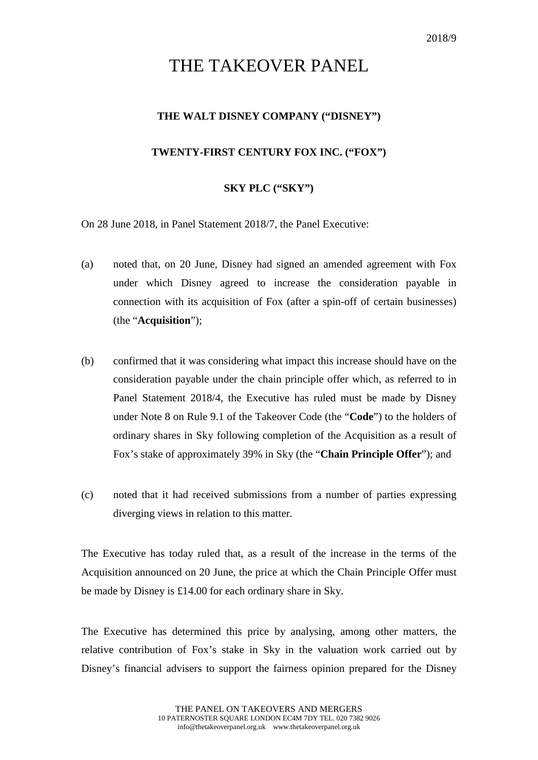## THE TAKEOVER PANEL

## **THE WALT DISNEY COMPANY ("DISNEY")**

## **TWENTY-FIRST CENTURY FOX INC. ("FOX")**

## **SKY PLC ("SKY")**

On 28 June 2018, in Panel Statement 2018/7, the Panel Executive:

- (a) noted that, on 20 June, Disney had signed an amended agreement with Fox under which Disney agreed to increase the consideration payable in connection with its acquisition of Fox (after a spin-off of certain businesses) (the "**Acquisition**");
- (b) confirmed that it was considering what impact this increase should have on the consideration payable under the chain principle offer which, as referred to in Panel Statement 2018/4, the Executive has ruled must be made by Disney under Note 8 on Rule 9.1 of the Takeover Code (the "**Code**") to the holders of ordinary shares in Sky following completion of the Acquisition as a result of Fox's stake of approximately 39% in Sky (the "**Chain Principle Offer**"); and
- (c) noted that it had received submissions from a number of parties expressing diverging views in relation to this matter.

The Executive has today ruled that, as a result of the increase in the terms of the Acquisition announced on 20 June, the price at which the Chain Principle Offer must be made by Disney is £14.00 for each ordinary share in Sky.

The Executive has determined this price by analysing, among other matters, the relative contribution of Fox's stake in Sky in the valuation work carried out by Disney's financial advisers to support the fairness opinion prepared for the Disney